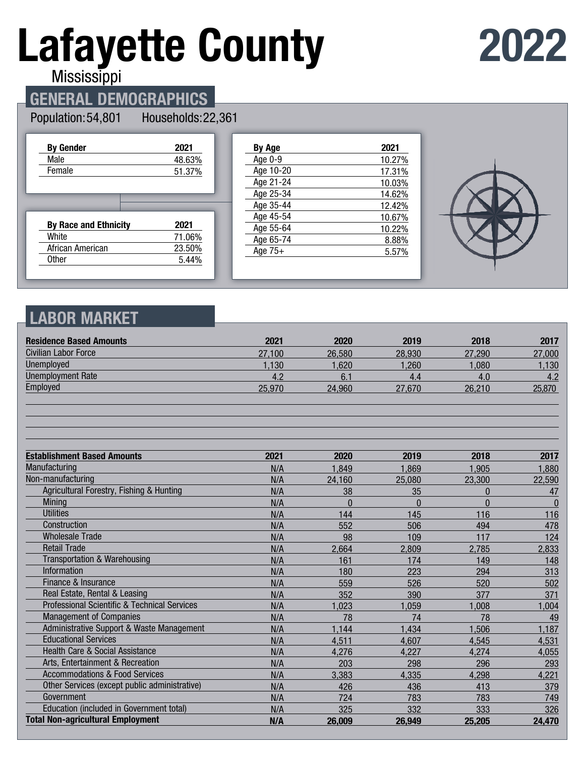# **Lafayette County**

## **2022**

Mississippi

## **GENERAL DEMOGRAPHICS**

#### Population: 54,801

Households: 22,361

| <b>By Gender</b>             | 2021   |
|------------------------------|--------|
| Male                         | 48.63% |
| Female                       | 51.37% |
|                              |        |
|                              |        |
|                              |        |
|                              |        |
| <b>By Race and Ethnicity</b> | 2021   |
| White                        | 71.06% |
| African American             | 23.50% |

| By Age    | 2021   |
|-----------|--------|
| Age 0-9   | 10.27% |
| Age 10-20 | 17.31% |
| Age 21-24 | 10.03% |
| Age 25-34 | 14.62% |
| Age 35-44 | 12.42% |
| Age 45-54 | 10.67% |
| Age 55-64 | 10.22% |
| Age 65-74 | 8.88%  |
| Age $75+$ | 5.57%  |
|           |        |



## **LABOR MARKET**

| <b>Residence Based Amounts</b>                          | 2021   | 2020     | 2019     | 2018     | 2017     |
|---------------------------------------------------------|--------|----------|----------|----------|----------|
| <b>Civilian Labor Force</b>                             | 27.100 | 26,580   | 28,930   | 27,290   | 27,000   |
| <b>Unemployed</b>                                       | 1,130  | 1.620    | 1,260    | 1,080    | 1,130    |
| <b>Unemployment Rate</b>                                | 4.2    | 6.1      | 4.4      | 4.0      | 4.2      |
| Employed                                                | 25,970 | 24,960   | 27,670   | 26,210   | 25,870   |
|                                                         |        |          |          |          |          |
| <b>Establishment Based Amounts</b>                      | 2021   | 2020     | 2019     | 2018     | 2017     |
| Manufacturing                                           | N/A    | 1,849    | 1,869    | 1,905    | 1,880    |
| Non-manufacturing                                       | N/A    | 24,160   | 25,080   | 23,300   | 22,590   |
| Agricultural Forestry, Fishing & Hunting                | N/A    | 38       | 35       | 0        | 47       |
| Mining                                                  | N/A    | $\Omega$ | $\Omega$ | $\Omega$ | $\bf{0}$ |
| <b>Utilities</b>                                        | N/A    | 144      | 145      | 116      | 116      |
| Construction                                            | N/A    | 552      | 506      | 494      | 478      |
| <b>Wholesale Trade</b>                                  | N/A    | 98       | 109      | 117      | 124      |
| <b>Retail Trade</b>                                     | N/A    | 2,664    | 2,809    | 2,785    | 2,833    |
| Transportation & Warehousing                            | N/A    | 161      | 174      | 149      | 148      |
| Information                                             | N/A    | 180      | 223      | 294      | 313      |
| Finance & Insurance                                     | N/A    | 559      | 526      | 520      | 502      |
| Real Estate, Rental & Leasing                           | N/A    | 352      | 390      | 377      | 371      |
| <b>Professional Scientific &amp; Technical Services</b> | N/A    | 1,023    | 1,059    | 1,008    | 1,004    |
| <b>Management of Companies</b>                          | N/A    | 78       | 74       | 78       | 49       |
| Administrative Support & Waste Management               | N/A    | 1,144    | 1,434    | 1,506    | 1,187    |
| <b>Educational Services</b>                             | N/A    | 4,511    | 4,607    | 4,545    | 4,531    |
| <b>Health Care &amp; Social Assistance</b>              | N/A    | 4,276    | 4,227    | 4,274    | 4,055    |
| Arts, Entertainment & Recreation                        | N/A    | 203      | 298      | 296      | 293      |
| <b>Accommodations &amp; Food Services</b>               | N/A    | 3,383    | 4,335    | 4,298    | 4,221    |
| Other Services (except public administrative)           | N/A    | 426      | 436      | 413      | 379      |
| Government                                              | N/A    | 724      | 783      | 783      | 749      |
| Education (included in Government total)                | N/A    | 325      | 332      | 333      | 326      |
| <b>Total Non-agricultural Employment</b>                | N/A    | 26,009   | 26.949   | 25,205   | 24,470   |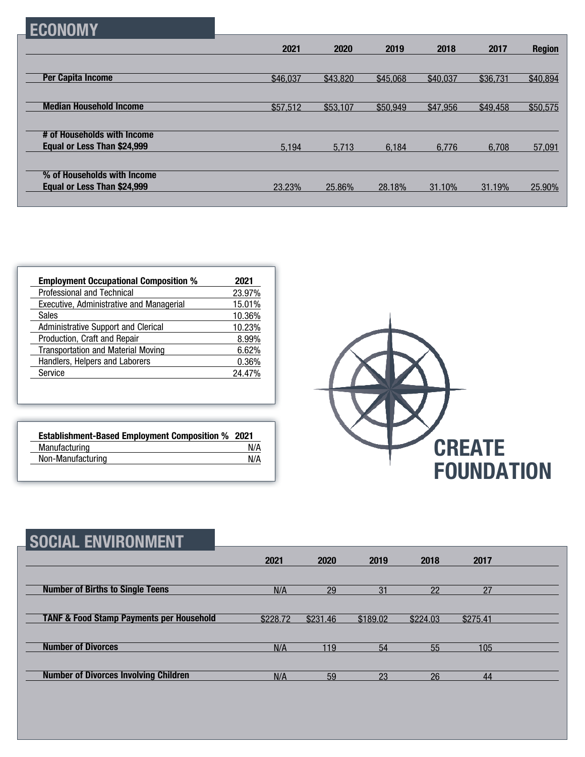| <b>ECONOMY</b>                                             |          |          |          |          |          |               |
|------------------------------------------------------------|----------|----------|----------|----------|----------|---------------|
|                                                            | 2021     | 2020     | 2019     | 2018     | 2017     | <b>Region</b> |
| <b>Per Capita Income</b>                                   | \$46,037 | \$43,820 | \$45,068 | \$40,037 | \$36,731 | \$40,894      |
| <b>Median Household Income</b>                             | \$57,512 | \$53,107 | \$50,949 | \$47,956 | \$49,458 | \$50,575      |
| # of Households with Income<br>Equal or Less Than \$24,999 | 5,194    | 5.713    | 6.184    | 6.776    | 6.708    | 57,091        |
| % of Households with Income                                |          |          |          |          |          |               |
| Equal or Less Than \$24,999                                | 23.23%   | 25.86%   | 28.18%   | 31.10%   | 31.19%   | 25.90%        |

| <b>Employment Occupational Composition %</b> | 2021   |
|----------------------------------------------|--------|
| <b>Professional and Technical</b>            | 23.97% |
| Executive, Administrative and Managerial     | 15.01% |
| Sales                                        | 10.36% |
| <b>Administrative Support and Clerical</b>   | 10.23% |
| Production, Craft and Repair                 | 8.99%  |
| <b>Transportation and Material Moving</b>    | 6.62%  |
| Handlers, Helpers and Laborers               | 0.36%  |
| Service                                      | 24.47% |

| <b>Establishment-Based Employment Composition % 2021</b> |     |
|----------------------------------------------------------|-----|
| Manufacturing                                            | N/A |
| Non-Manufacturing                                        | N/A |



| <b>SOCIAL ENVIRONMENT</b>                           |          |          |          |          |          |  |
|-----------------------------------------------------|----------|----------|----------|----------|----------|--|
|                                                     | 2021     | 2020     | 2019     | 2018     | 2017     |  |
| <b>Number of Births to Single Teens</b>             | N/A      | 29       | 31       | 22       | 27       |  |
| <b>TANF &amp; Food Stamp Payments per Household</b> | \$228.72 | \$231.46 | \$189.02 | \$224.03 | \$275.41 |  |
| <b>Number of Divorces</b>                           | N/A      | 119      | 54       | 55       | 105      |  |
| <b>Number of Divorces Involving Children</b>        | N/A      | 59       | 23       | 26       | 44       |  |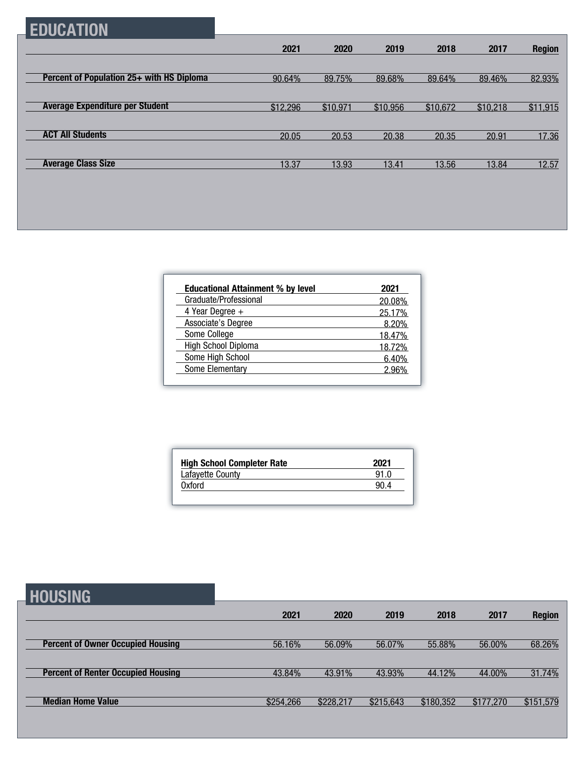## **EDUCATION**

|                                           | 2021     | 2020     | 2019     | 2018     | 2017     | <b>Region</b> |
|-------------------------------------------|----------|----------|----------|----------|----------|---------------|
|                                           |          |          |          |          |          |               |
| Percent of Population 25+ with HS Diploma | 90.64%   | 89.75%   | 89.68%   | 89.64%   | 89.46%   | 82.93%        |
|                                           |          |          |          |          |          |               |
| <b>Average Expenditure per Student</b>    | \$12,296 | \$10,971 | \$10,956 | \$10,672 | \$10,218 | \$11,915      |
|                                           |          |          |          |          |          |               |
| <b>ACT All Students</b>                   | 20.05    | 20.53    | 20.38    | 20.35    | 20.91    | 17.36         |
|                                           |          |          |          |          |          |               |
| <b>Average Class Size</b>                 | 13.37    | 13.93    | 13.41    | 13.56    | 13.84    | 12.57         |

| <b>Educational Attainment % by level</b> | 2021   |
|------------------------------------------|--------|
| Graduate/Professional                    | 20.08% |
| 4 Year Degree $+$                        | 25.17% |
| Associate's Degree                       | 8.20%  |
| Some College                             | 18.47% |
| High School Diploma                      | 18.72% |
| Some High School                         | 6.40%  |
| Some Elementary                          | 296%   |

| <b>High School Completer Rate</b> | 2021 |
|-----------------------------------|------|
| Lafayette County                  | 91.0 |
| 0xford                            | 90.4 |

|--|

| ---------                                 |           |           |           |           |           |               |
|-------------------------------------------|-----------|-----------|-----------|-----------|-----------|---------------|
|                                           | 2021      | 2020      | 2019      | 2018      | 2017      | <b>Region</b> |
|                                           |           |           |           |           |           |               |
| <b>Percent of Owner Occupied Housing</b>  | 56.16%    | 56.09%    | 56.07%    | 55.88%    | 56.00%    | 68.26%        |
|                                           |           |           |           |           |           |               |
| <b>Percent of Renter Occupied Housing</b> | 43.84%    | 43.91%    | 43.93%    | 44.12%    | 44.00%    | 31.74%        |
|                                           |           |           |           |           |           |               |
| <b>Median Home Value</b>                  | \$254,266 | \$228,217 | \$215,643 | \$180,352 | \$177,270 | \$151,579     |
|                                           |           |           |           |           |           |               |